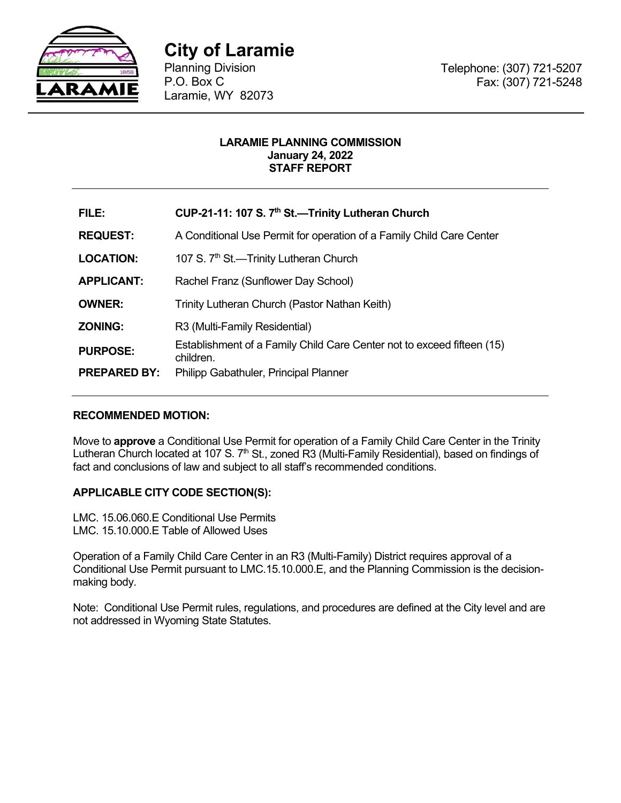

**City of Laramie** 

Planning Division P.O. Box C Laramie, WY 82073

# **LARAMIE PLANNING COMMISSION January 24, 2022 STAFF REPORT**

| FILE:               | CUP-21-11: 107 S. 7 <sup>th</sup> St.—Trinity Lutheran Church                       |  |  |
|---------------------|-------------------------------------------------------------------------------------|--|--|
| <b>REQUEST:</b>     | A Conditional Use Permit for operation of a Family Child Care Center                |  |  |
| <b>LOCATION:</b>    | 107 S. 7 <sup>th</sup> St.—Trinity Lutheran Church                                  |  |  |
| <b>APPLICANT:</b>   | Rachel Franz (Sunflower Day School)                                                 |  |  |
| <b>OWNER:</b>       | Trinity Lutheran Church (Pastor Nathan Keith)                                       |  |  |
| <b>ZONING:</b>      | R3 (Multi-Family Residential)                                                       |  |  |
| <b>PURPOSE:</b>     | Establishment of a Family Child Care Center not to exceed fifteen (15)<br>children. |  |  |
| <b>PREPARED BY:</b> | Philipp Gabathuler, Principal Planner                                               |  |  |

# **RECOMMENDED MOTION:**

Move to **approve** a Conditional Use Permit for operation of a Family Child Care Center in the Trinity Lutheran Church located at 107 S. 7<sup>th</sup> St., zoned R3 (Multi-Family Residential), based on findings of fact and conclusions of law and subject to all staff's recommended conditions.

# **APPLICABLE CITY CODE SECTION(S):**

LMC. 15.06.060.E Conditional Use Permits LMC. 15.10.000.E Table of Allowed Uses

Operation of a Family Child Care Center in an R3 (Multi-Family) District requires approval of a Conditional Use Permit pursuant to LMC.15.10.000.E, and the Planning Commission is the decisionmaking body.

Note: Conditional Use Permit rules, regulations, and procedures are defined at the City level and are not addressed in Wyoming State Statutes.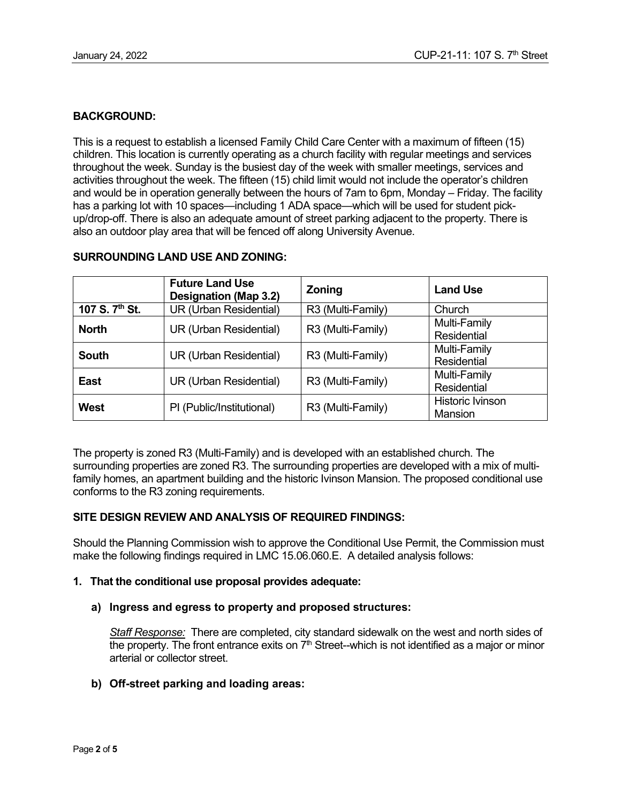# **BACKGROUND:**

This is a request to establish a licensed Family Child Care Center with a maximum of fifteen (15) children. This location is currently operating as a church facility with regular meetings and services throughout the week. Sunday is the busiest day of the week with smaller meetings, services and activities throughout the week. The fifteen (15) child limit would not include the operator's children and would be in operation generally between the hours of 7am to 6pm, Monday – Friday. The facility has a parking lot with 10 spaces—including 1 ADA space—which will be used for student pickup/drop-off. There is also an adequate amount of street parking adjacent to the property. There is also an outdoor play area that will be fenced off along University Avenue.

|                            | <b>Future Land Use</b><br><b>Designation (Map 3.2)</b> | <b>Zoning</b>     | <b>Land Use</b>                           |
|----------------------------|--------------------------------------------------------|-------------------|-------------------------------------------|
| 107 S. 7 <sup>th</sup> St. | UR (Urban Residential)                                 | R3 (Multi-Family) | Church                                    |
| <b>North</b>               | UR (Urban Residential)                                 | R3 (Multi-Family) | Multi-Family<br>Residential               |
| <b>South</b>               | UR (Urban Residential)                                 | R3 (Multi-Family) | Multi-Family<br>Residential               |
| <b>East</b>                | UR (Urban Residential)                                 | R3 (Multi-Family) | Multi-Family<br><b>Residential</b>        |
| <b>West</b>                | PI (Public/Institutional)                              | R3 (Multi-Family) | <b>Historic Ivinson</b><br><b>Mansion</b> |

# **SURROUNDING LAND USE AND ZONING:**

The property is zoned R3 (Multi-Family) and is developed with an established church. The surrounding properties are zoned R3. The surrounding properties are developed with a mix of multifamily homes, an apartment building and the historic Ivinson Mansion. The proposed conditional use conforms to the R3 zoning requirements.

# **SITE DESIGN REVIEW AND ANALYSIS OF REQUIRED FINDINGS:**

Should the Planning Commission wish to approve the Conditional Use Permit, the Commission must make the following findings required in LMC 15.06.060.E. A detailed analysis follows:

# **1. That the conditional use proposal provides adequate:**

# **a) Ingress and egress to property and proposed structures:**

*Staff Response:* There are completed, city standard sidewalk on the west and north sides of the property. The front entrance exits on  $7<sup>th</sup>$  Street--which is not identified as a major or minor arterial or collector street.

# **b) Off-street parking and loading areas:**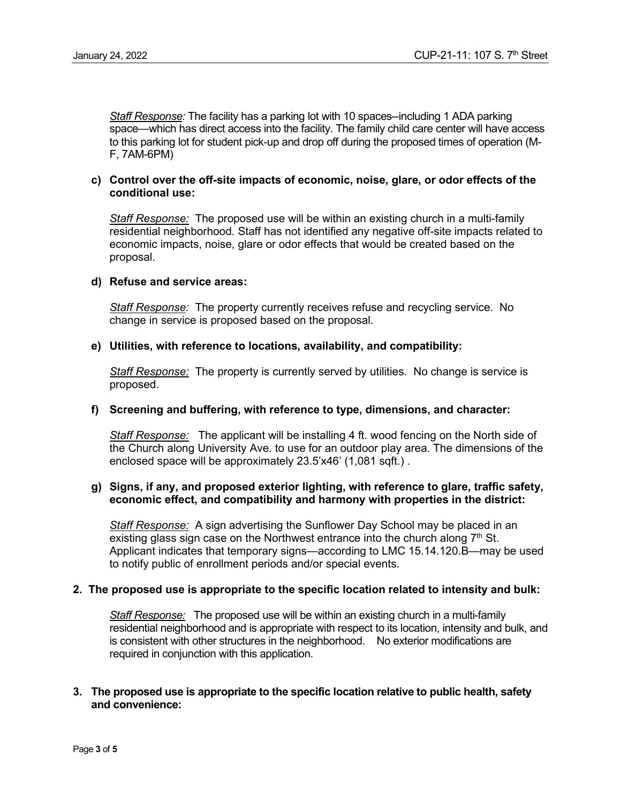*Staff Response:* The facility has a parking lot with 10 spaces--including 1 ADA parking space—which has direct access into the facility. The family child care center will have access to this parking lot for student pick-up and drop off during the proposed times of operation (M-F, 7AM-6PM)

# **c) Control over the off-site impacts of economic, noise, glare, or odor effects of the conditional use:**

*Staff Response:* The proposed use will be within an existing church in a multi-family residential neighborhood. Staff has not identified any negative off-site impacts related to economic impacts, noise, glare or odor effects that would be created based on the proposal.

# **d) Refuse and service areas:**

*Staff Response:* The property currently receives refuse and recycling service. No change in service is proposed based on the proposal.

# **e) Utilities, with reference to locations, availability, and compatibility:**

*Staff Response:* The property is currently served by utilities. No change is service is proposed.

#### **f) Screening and buffering, with reference to type, dimensions, and character:**

*Staff Response:* The applicant will be installing 4 ft. wood fencing on the North side of the Church along University Ave. to use for an outdoor play area. The dimensions of the enclosed space will be approximately 23.5'x46' (1,081 sqft.) .

### **g) Signs, if any, and proposed exterior lighting, with reference to glare, traffic safety, economic effect, and compatibility and harmony with properties in the district:**

*Staff Response:* A sign advertising the Sunflower Day School may be placed in an existing glass sign case on the Northwest entrance into the church along  $7<sup>th</sup>$  St. Applicant indicates that temporary signs—according to LMC 15.14.120.B—may be used to notify public of enrollment periods and/or special events.

# **2. The proposed use is appropriate to the specific location related to intensity and bulk:**

*Staff Response:* The proposed use will be within an existing church in a multi-family residential neighborhood and is appropriate with respect to its location, intensity and bulk, and is consistent with other structures in the neighborhood. No exterior modifications are required in conjunction with this application.

### **3. The proposed use is appropriate to the specific location relative to public health, safety and convenience:**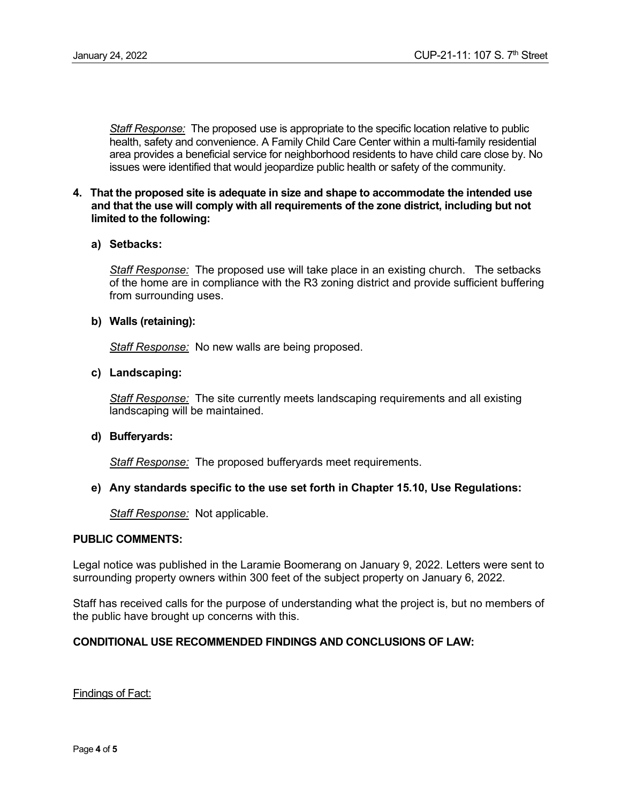*Staff Response:* The proposed use is appropriate to the specific location relative to public health, safety and convenience. A Family Child Care Center within a multi-family residential area provides a beneficial service for neighborhood residents to have child care close by. No issues were identified that would jeopardize public health or safety of the community.

# **4. That the proposed site is adequate in size and shape to accommodate the intended use and that the use will comply with all requirements of the zone district, including but not limited to the following:**

### **a) Setbacks:**

*Staff Response:* The proposed use will take place in an existing church. The setbacks of the home are in compliance with the R3 zoning district and provide sufficient buffering from surrounding uses.

### **b) Walls (retaining):**

*Staff Response:* No new walls are being proposed.

# **c) Landscaping:**

*Staff Response:* The site currently meets landscaping requirements and all existing landscaping will be maintained.

#### **d) Bufferyards:**

*Staff Response:* The proposed bufferyards meet requirements.

# **e) Any standards specific to the use set forth in Chapter 15.10, Use Regulations:**

*Staff Response:* Not applicable.

#### **PUBLIC COMMENTS:**

Legal notice was published in the Laramie Boomerang on January 9, 2022. Letters were sent to surrounding property owners within 300 feet of the subject property on January 6, 2022.

Staff has received calls for the purpose of understanding what the project is, but no members of the public have brought up concerns with this.

# **CONDITIONAL USE RECOMMENDED FINDINGS AND CONCLUSIONS OF LAW:**

Findings of Fact: